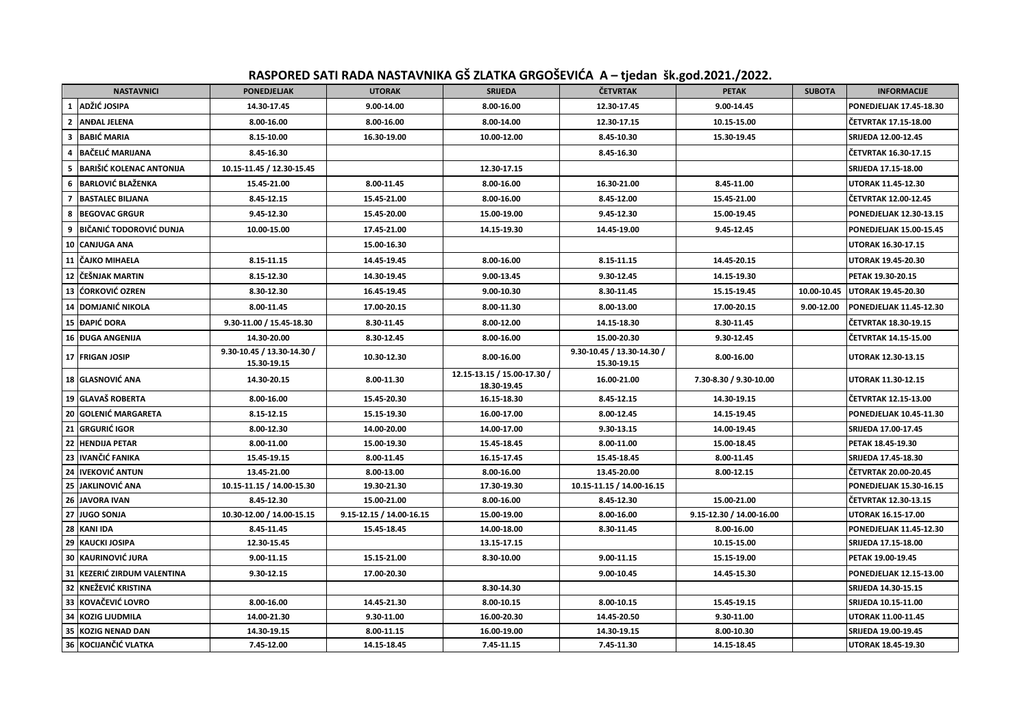## **RASPORED SATI RADA NASTAVNIKA GŠ ZLATKA GRGOŠEVIĆA A – tjedan šk.god.2021./2022.**

| <b>NASTAVNICI</b>                    | <b>PONEDJELJAK</b>                        | <b>UTORAK</b>            | <b>SRIJEDA</b>                             | <b>ČETVRTAK</b>                           | <b>PETAK</b>             | <b>SUBOTA</b> | <b>INFORMACIJE</b>             |
|--------------------------------------|-------------------------------------------|--------------------------|--------------------------------------------|-------------------------------------------|--------------------------|---------------|--------------------------------|
| 1 ADŽIĆ JOSIPA                       | 14.30-17.45                               | 9.00-14.00               | 8.00-16.00                                 | 12.30-17.45                               | 9.00-14.45               |               | PONEDJELJAK 17.45-18.30        |
| <b>ANDAL JELENA</b><br>$\mathbf{2}$  | 8.00-16.00                                | 8.00-16.00               | 8.00-14.00                                 | 12.30-17.15                               | 10.15-15.00              |               | ČETVRTAK 17.15-18.00           |
| <b>BABIĆ MARIA</b><br>3              | 8.15-10.00                                | 16.30-19.00              | 10.00-12.00                                | 8.45-10.30                                | 15.30-19.45              |               | <b>SRIJEDA 12.00-12.45</b>     |
| <b>BAČELIĆ MARIJANA</b><br>4         | 8.45-16.30                                |                          |                                            | 8.45-16.30                                |                          |               | ČETVRTAK 16.30-17.15           |
| <b>BARIŠIĆ KOLENAC ANTONIJA</b><br>5 | 10.15-11.45 / 12.30-15.45                 |                          | 12.30-17.15                                |                                           |                          |               | SRIJEDA 17.15-18.00            |
| <b>BARLOVIĆ BLAŽENKA</b><br>6        | 15.45-21.00                               | 8.00-11.45               | 8.00-16.00                                 | 16.30-21.00                               | 8.45-11.00               |               | <b>UTORAK 11.45-12.30</b>      |
| <b>BASTALEC BILJANA</b><br>7         | 8.45-12.15                                | 15.45-21.00              | 8.00-16.00                                 | 8.45-12.00                                | 15.45-21.00              |               | ČETVRTAK 12.00-12.45           |
| <b>BEGOVAC GRGUR</b><br>8            | 9.45-12.30                                | 15.45-20.00              | 15.00-19.00                                | 9.45-12.30                                | 15.00-19.45              |               | <b>PONEDJELJAK 12.30-13.15</b> |
| IBIČANIĆ TODOROVIĆ DUNJA<br>9        | 10.00-15.00                               | 17.45-21.00              | 14.15-19.30                                | 14.45-19.00                               | 9.45-12.45               |               | <b>PONEDJELJAK 15.00-15.45</b> |
| 10 CANJUGA ANA                       |                                           | 15.00-16.30              |                                            |                                           |                          |               | UTORAK 16.30-17.15             |
| 11 ČAJKO MIHAELA                     | 8.15-11.15                                | 14.45-19.45              | 8.00-16.00                                 | 8.15-11.15                                | 14.45-20.15              |               | UTORAK 19.45-20.30             |
| 12 ČEŠNJAK MARTIN                    | 8.15-12.30                                | 14.30-19.45              | 9.00-13.45                                 | 9.30-12.45                                | 14.15-19.30              |               | PETAK 19.30-20.15              |
| lćorković ozren<br>13                | 8.30-12.30                                | 16.45-19.45              | 9.00-10.30                                 | 8.30-11.45                                | 15.15-19.45              | 10.00-10.45   | <b>UTORAK 19.45-20.30</b>      |
| 14 DOMJANIĆ NIKOLA                   | 8.00-11.45                                | 17.00-20.15              | 8.00-11.30                                 | 8.00-13.00                                | 17.00-20.15              | 9.00-12.00    | PONEDJELJAK 11.45-12.30        |
| 15 ĐAPIĆ DORA                        | 9.30-11.00 / 15.45-18.30                  | 8.30-11.45               | 8.00-12.00                                 | 14.15-18.30                               | 8.30-11.45               |               | ČETVRTAK 18.30-19.15           |
| 16 DUGA ANGENIJA                     | 14.30-20.00                               | 8.30-12.45               | 8.00-16.00                                 | 15.00-20.30                               | 9.30-12.45               |               | ČETVRTAK 14.15-15.00           |
| 17 FRIGAN JOSIP                      | 9.30-10.45 / 13.30-14.30 /<br>15.30-19.15 | 10.30-12.30              | 8.00-16.00                                 | 9.30-10.45 / 13.30-14.30 /<br>15.30-19.15 | 8.00-16.00               |               | <b>UTORAK 12.30-13.15</b>      |
| 18 GLASNOVIĆ ANA                     | 14.30-20.15                               | 8.00-11.30               | 12.15-13.15 / 15.00-17.30 /<br>18.30-19.45 | 16.00-21.00                               | 7.30-8.30 / 9.30-10.00   |               | <b>UTORAK 11.30-12.15</b>      |
| 19 GLAVAŠ ROBERTA                    | 8.00-16.00                                | 15.45-20.30              | 16.15-18.30                                | 8.45-12.15                                | 14.30-19.15              |               | ČETVRTAK 12.15-13.00           |
| 20 GOLENIĆ MARGARETA                 | 8.15-12.15                                | 15.15-19.30              | 16.00-17.00                                | 8.00-12.45                                | 14.15-19.45              |               | PONEDJELJAK 10.45-11.30        |
| 21 GRGURIĆ IGOR                      | 8.00-12.30                                | 14.00-20.00              | 14.00-17.00                                | 9.30-13.15                                | 14.00-19.45              |               | SRIJEDA 17.00-17.45            |
| 22 HENDIJA PETAR                     | 8.00-11.00                                | 15.00-19.30              | 15.45-18.45                                | 8.00-11.00                                | 15.00-18.45              |               | PETAK 18.45-19.30              |
| 23 IVANČIĆ FANIKA                    | 15.45-19.15                               | 8.00-11.45               | 16.15-17.45                                | 15.45-18.45                               | 8.00-11.45               |               | SRIJEDA 17.45-18.30            |
| 24 IVEKOVIĆ ANTUN                    | 13.45-21.00                               | 8.00-13.00               | 8.00-16.00                                 | 13.45-20.00                               | 8.00-12.15               |               | ČETVRTAK 20.00-20.45           |
| 25 JAKLINOVIĆ ANA                    | 10.15-11.15 / 14.00-15.30                 | 19.30-21.30              | 17.30-19.30                                | 10.15-11.15 / 14.00-16.15                 |                          |               | PONEDJELJAK 15.30-16.15        |
| 26 JAVORA IVAN                       | 8.45-12.30                                | 15.00-21.00              | 8.00-16.00                                 | 8.45-12.30                                | 15.00-21.00              |               | ČETVRTAK 12.30-13.15           |
| 27 JUGO SONJA                        | 10.30-12.00 / 14.00-15.15                 | 9.15-12.15 / 14.00-16.15 | 15.00-19.00                                | 8.00-16.00                                | 9.15-12.30 / 14.00-16.00 |               | <b>UTORAK 16.15-17.00</b>      |
| 28 KANI IDA                          | 8.45-11.45                                | 15.45-18.45              | 14.00-18.00                                | 8.30-11.45                                | 8.00-16.00               |               | PONEDJELJAK 11.45-12.30        |
| 29<br><b>KAUCKI JOSIPA</b>           | 12.30-15.45                               |                          | 13.15-17.15                                |                                           | 10.15-15.00              |               | SRIJEDA 17.15-18.00            |
| 30 KAURINOVIĆ JURA                   | 9.00-11.15                                | 15.15-21.00              | 8.30-10.00                                 | 9.00-11.15                                | 15.15-19.00              |               | PETAK 19.00-19.45              |
| KEZERIĆ ZIRDUM VALENTINA<br>31       | 9.30-12.15                                | 17.00-20.30              |                                            | 9.00-10.45                                | 14.45-15.30              |               | PONEDJELJAK 12.15-13.00        |
| KNEŽEVIĆ KRISTINA<br>32              |                                           |                          | 8.30-14.30                                 |                                           |                          |               | SRIJEDA 14.30-15.15            |
| <b>KOVAČEVIĆ LOVRO</b><br>33         | 8.00-16.00                                | 14.45-21.30              | 8.00-10.15                                 | 8.00-10.15                                | 15.45-19.15              |               | SRIJEDA 10.15-11.00            |
| 34 KOZIG LJUDMILA                    | 14.00-21.30                               | 9.30-11.00               | 16.00-20.30                                | 14.45-20.50                               | 9.30-11.00               |               | UTORAK 11.00-11.45             |
| 35 KOZIG NENAD DAN                   | 14.30-19.15                               | 8.00-11.15               | 16.00-19.00                                | 14.30-19.15                               | 8.00-10.30               |               | SRIJEDA 19.00-19.45            |
| 36 KOCIJANČIĆ VLATKA                 | 7.45-12.00                                | 14.15-18.45              | 7.45-11.15                                 | 7.45-11.30                                | 14.15-18.45              |               | UTORAK 18.45-19.30             |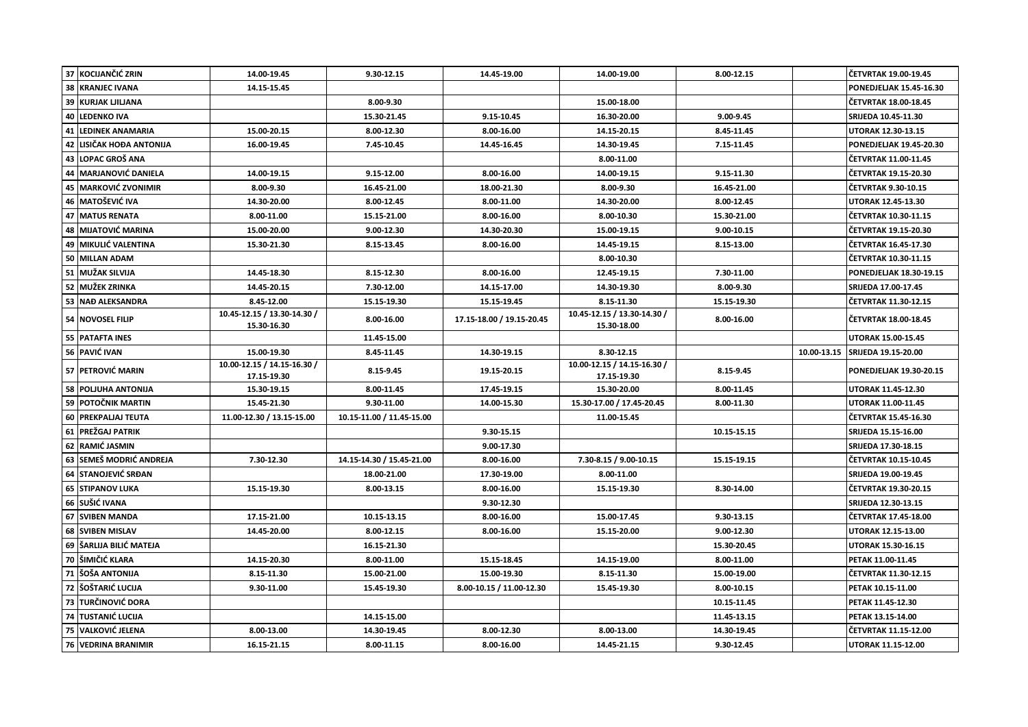|    | 37 KOCIJANČIĆ ZRIN        | 14.00-19.45                                | 9.30-12.15                | 14.45-19.00               | 14.00-19.00                                | 8.00-12.15  |             | ČETVRTAK 19.00-19.45           |
|----|---------------------------|--------------------------------------------|---------------------------|---------------------------|--------------------------------------------|-------------|-------------|--------------------------------|
| 38 | <b>KRANJEC IVANA</b>      | 14.15-15.45                                |                           |                           |                                            |             |             | <b>PONEDJELJAK 15.45-16.30</b> |
| 39 | <b>KURJAK LJILJANA</b>    |                                            | 8.00-9.30                 |                           | 15.00-18.00                                |             |             | ČETVRTAK 18.00-18.45           |
| 40 | <b>LEDENKO IVA</b>        |                                            | 15.30-21.45               | 9.15-10.45                | 16.30-20.00                                | 9.00-9.45   |             | <b>SRIJEDA 10.45-11.30</b>     |
| 41 | <b>LEDINEK ANAMARIA</b>   | 15.00-20.15                                | 8.00-12.30                | 8.00-16.00                | 14.15-20.15                                | 8.45-11.45  |             | UTORAK 12.30-13.15             |
| 42 | LISIČAK HOĐA ANTONIJA     | 16.00-19.45                                | 7.45-10.45                | 14.45-16.45               | 14.30-19.45                                | 7.15-11.45  |             | PONEDJELJAK 19.45-20.30        |
| 43 | LOPAC GROŠ ANA            |                                            |                           |                           | 8.00-11.00                                 |             |             | ČETVRTAK 11.00-11.45           |
| 44 | <b>MARJANOVIĆ DANIELA</b> | 14.00-19.15                                | 9.15-12.00                | 8.00-16.00                | 14.00-19.15                                | 9.15-11.30  |             | ČETVRTAK 19.15-20.30           |
| 45 | <b>MARKOVIĆ ZVONIMIR</b>  | 8.00-9.30                                  | 16.45-21.00               | 18.00-21.30               | 8.00-9.30                                  | 16.45-21.00 |             | ČETVRTAK 9.30-10.15            |
| 46 | <b>MATOŠEVIĆ IVA</b>      | 14.30-20.00                                | 8.00-12.45                | 8.00-11.00                | 14.30-20.00                                | 8.00-12.45  |             | UTORAK 12.45-13.30             |
| 47 | <b>MATUS RENATA</b>       | 8.00-11.00                                 | 15.15-21.00               | 8.00-16.00                | 8.00-10.30                                 | 15.30-21.00 |             | ČETVRTAK 10.30-11.15           |
| 48 | <b>MIJATOVIĆ MARINA</b>   | 15.00-20.00                                | 9.00-12.30                | 14.30-20.30               | 15.00-19.15                                | 9.00-10.15  |             | ČETVRTAK 19.15-20.30           |
|    | 49   MIKULIĆ VALENTINA    | 15.30-21.30                                | 8.15-13.45                | 8.00-16.00                | 14.45-19.15                                | 8.15-13.00  |             | ČETVRTAK 16.45-17.30           |
| 50 | <b>MILLAN ADAM</b>        |                                            |                           |                           | 8.00-10.30                                 |             |             | ČETVRTAK 10.30-11.15           |
| 51 | <b>MUŽAK SILVIJA</b>      | 14.45-18.30                                | 8.15-12.30                | 8.00-16.00                | 12.45-19.15                                | 7.30-11.00  |             | PONEDJELJAK 18.30-19.15        |
| 52 | MUŽEK ZRINKA              | 14.45-20.15                                | 7.30-12.00                | 14.15-17.00               | 14.30-19.30                                | 8.00-9.30   |             | SRIJEDA 17.00-17.45            |
| 53 | <b>NAĐ ALEKSANDRA</b>     | 8.45-12.00                                 | 15.15-19.30               | 15.15-19.45               | 8.15-11.30                                 | 15.15-19.30 |             | ČETVRTAK 11.30-12.15           |
| 54 | <b>NOVOSEL FILIP</b>      | 10.45-12.15 / 13.30-14.30 /<br>15.30-16.30 | 8.00-16.00                | 17.15-18.00 / 19.15-20.45 | 10.45-12.15 / 13.30-14.30 /<br>15.30-18.00 | 8.00-16.00  |             | ČETVRTAK 18.00-18.45           |
|    | 55 PATAFTA INES           |                                            | 11.45-15.00               |                           |                                            |             |             | UTORAK 15.00-15.45             |
|    | 56 PAVIĆ IVAN             | 15.00-19.30                                | 8.45-11.45                | 14.30-19.15               | 8.30-12.15                                 |             | 10.00-13.15 | SRIJEDA 19.15-20.00            |
|    | 57 PETROVIĆ MARIN         | 10.00-12.15 / 14.15-16.30 /<br>17.15-19.30 | 8.15-9.45                 | 19.15-20.15               | 10.00-12.15 / 14.15-16.30 /<br>17.15-19.30 | 8.15-9.45   |             | PONEDJELJAK 19.30-20.15        |
| 58 | <b>POLJUHA ANTONIJA</b>   | 15.30-19.15                                | 8.00-11.45                | 17.45-19.15               | 15.30-20.00                                | 8.00-11.45  |             | UTORAK 11.45-12.30             |
|    |                           |                                            |                           |                           |                                            |             |             |                                |
| 59 | POTOČNIK MARTIN           | 15.45-21.30                                | 9.30-11.00                | 14.00-15.30               | 15.30-17.00 / 17.45-20.45                  | 8.00-11.30  |             | UTORAK 11.00-11.45             |
| 60 | <b>PREKPALIAJ TEUTA</b>   | 11.00-12.30 / 13.15-15.00                  | 10.15-11.00 / 11.45-15.00 |                           | 11.00-15.45                                |             |             | ČETVRTAK 15.45-16.30           |
| 61 | IPREŽGAJ PATRIK           |                                            |                           | 9.30-15.15                |                                            | 10.15-15.15 |             | SRIJEDA 15.15-16.00            |
| 62 | RAMIĆ JASMIN              |                                            |                           | 9.00-17.30                |                                            |             |             | SRIJEDA 17.30-18.15            |
| 63 | SEMEŠ MODRIĆ ANDREJA      | 7.30-12.30                                 | 14.15-14.30 / 15.45-21.00 | 8.00-16.00                | 7.30-8.15 / 9.00-10.15                     | 15.15-19.15 |             | ČETVRTAK 10.15-10.45           |
| 64 | <b>ISTANOJEVIČ SRĐAN</b>  |                                            | 18.00-21.00               | 17.30-19.00               | 8.00-11.00                                 |             |             | SRIJEDA 19.00-19.45            |
|    | 65 STIPANOV LUKA          | 15.15-19.30                                | 8.00-13.15                | 8.00-16.00                | 15.15-19.30                                | 8.30-14.00  |             | ČETVRTAK 19.30-20.15           |
| 66 | SUŠIĆ IVANA               |                                            |                           | 9.30-12.30                |                                            |             |             | SRIJEDA 12.30-13.15            |
| 67 | <b>SVIBEN MANDA</b>       | 17.15-21.00                                | 10.15-13.15               | 8.00-16.00                | 15.00-17.45                                | 9.30-13.15  |             | ČETVRTAK 17.45-18.00           |
| 68 | <b>SVIBEN MISLAV</b>      | 14.45-20.00                                | 8.00-12.15                | 8.00-16.00                | 15.15-20.00                                | 9.00-12.30  |             | UTORAK 12.15-13.00             |
|    | 69 SARLIJA BILIĆ MATEJA   |                                            | 16.15-21.30               |                           |                                            | 15.30-20.45 |             | <b>UTORAK 15.30-16.15</b>      |
| 70 | ŠIMIČIĆ KLARA             | 14.15-20.30                                | 8.00-11.00                | 15.15-18.45               | 14.15-19.00                                | 8.00-11.00  |             | PETAK 11.00-11.45              |
| 71 | ŠOŠA ANTONIJA             | 8.15-11.30                                 | 15.00-21.00               | 15.00-19.30               | 8.15-11.30                                 | 15.00-19.00 |             | ČETVRTAK 11.30-12.15           |
| 72 | ŠOŠTARIĆ LUCIJA           | 9.30-11.00                                 | 15.45-19.30               | 8.00-10.15 / 11.00-12.30  | 15.45-19.30                                | 8.00-10.15  |             | PETAK 10.15-11.00              |
| 73 | <b>TURČINOVIĆ DORA</b>    |                                            |                           |                           |                                            | 10.15-11.45 |             | PETAK 11.45-12.30              |
| 74 | TUSTANIĆ LUCIJA           |                                            | 14.15-15.00               |                           |                                            | 11.45-13.15 |             | PETAK 13.15-14.00              |
| 75 | <b>VALKOVIĆ JELENA</b>    | 8.00-13.00                                 | 14.30-19.45               | 8.00-12.30                | 8.00-13.00                                 | 14.30-19.45 |             | ČETVRTAK 11.15-12.00           |